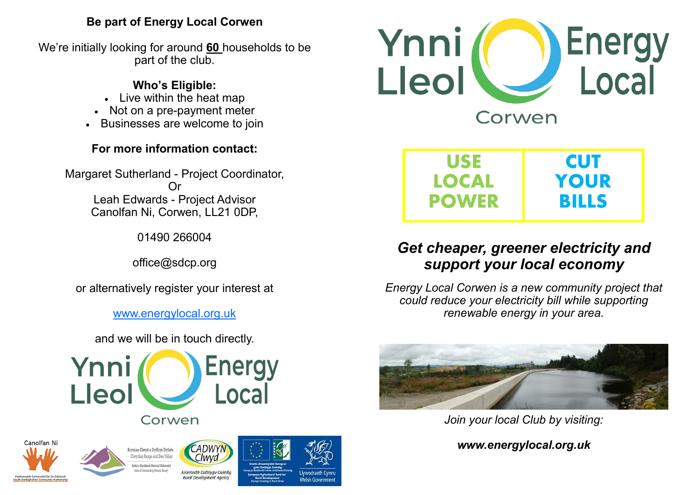# **Be part of Energy Local Corwen**

We're initially looking for around **60** households to be part of the club.

# **Who's Eligible:**

- Live within the heat map
- Not on a pre-payment meter
- Businesses are welcome to join

# **For more information contact:**

Margaret Sutherland - Project Coordinator, Or Leah Edwards - Project Advisor Canolfan Ni, Corwen, LL21 0DP,

01490 266004

office@sdcp.org

or alternatively register your interest at

[www.energylocal.org.uk](http://www.energylocal.org.uk)

and we will be in touch directly.









Rural Development Agency









# *Get cheaper, greener electricity and support your local economy*

*Energy Local Corwen is a new community project that could reduce your electricity bill while supporting renewable energy in your area.*



*Join your local Club by visiting:*

*www.energylocal.org.uk*